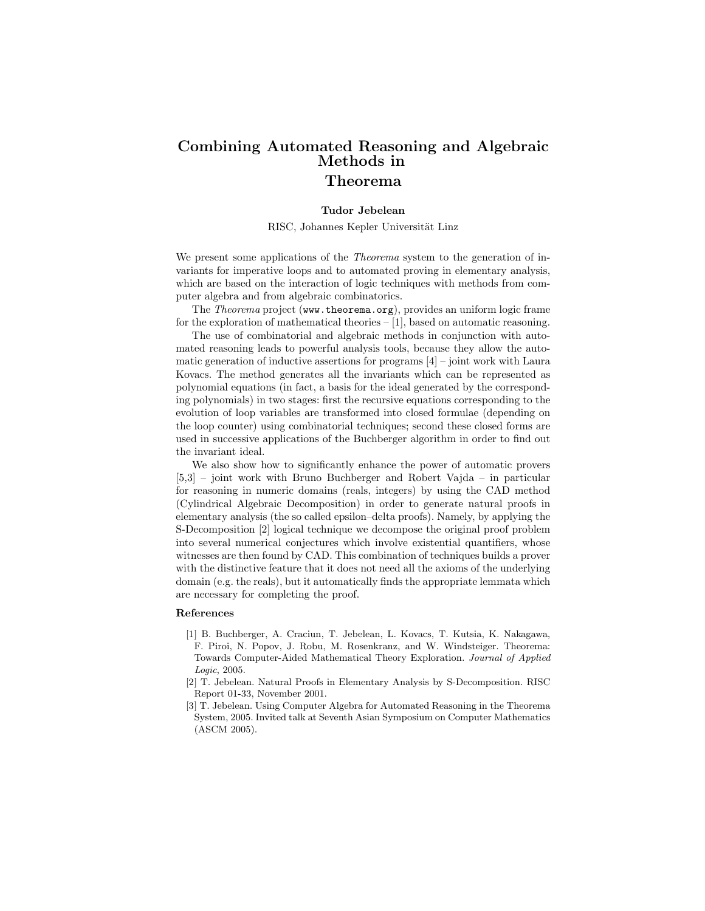## Combining Automated Reasoning and Algebraic Methods in Theorema

## Tudor Jebelean

RISC, Johannes Kepler Universität Linz

We present some applications of the *Theorema* system to the generation of invariants for imperative loops and to automated proving in elementary analysis, which are based on the interaction of logic techniques with methods from computer algebra and from algebraic combinatorics.

The Theorema project (www.theorema.org), provides an uniform logic frame for the exploration of mathematical theories – [1], based on automatic reasoning.

The use of combinatorial and algebraic methods in conjunction with automated reasoning leads to powerful analysis tools, because they allow the automatic generation of inductive assertions for programs  $[4]$  – joint work with Laura Kovacs. The method generates all the invariants which can be represented as polynomial equations (in fact, a basis for the ideal generated by the corresponding polynomials) in two stages: first the recursive equations corresponding to the evolution of loop variables are transformed into closed formulae (depending on the loop counter) using combinatorial techniques; second these closed forms are used in successive applications of the Buchberger algorithm in order to find out the invariant ideal.

We also show how to significantly enhance the power of automatic provers [5,3] – joint work with Bruno Buchberger and Robert Vajda – in particular for reasoning in numeric domains (reals, integers) by using the CAD method (Cylindrical Algebraic Decomposition) in order to generate natural proofs in elementary analysis (the so called epsilon–delta proofs). Namely, by applying the S-Decomposition [2] logical technique we decompose the original proof problem into several numerical conjectures which involve existential quantifiers, whose witnesses are then found by CAD. This combination of techniques builds a prover with the distinctive feature that it does not need all the axioms of the underlying domain (e.g. the reals), but it automatically finds the appropriate lemmata which are necessary for completing the proof.

## References

- [1] B. Buchberger, A. Craciun, T. Jebelean, L. Kovacs, T. Kutsia, K. Nakagawa, F. Piroi, N. Popov, J. Robu, M. Rosenkranz, and W. Windsteiger. Theorema: Towards Computer-Aided Mathematical Theory Exploration. Journal of Applied Logic, 2005.
- [2] T. Jebelean. Natural Proofs in Elementary Analysis by S-Decomposition. RISC Report 01-33, November 2001.
- [3] T. Jebelean. Using Computer Algebra for Automated Reasoning in the Theorema System, 2005. Invited talk at Seventh Asian Symposium on Computer Mathematics (ASCM 2005).